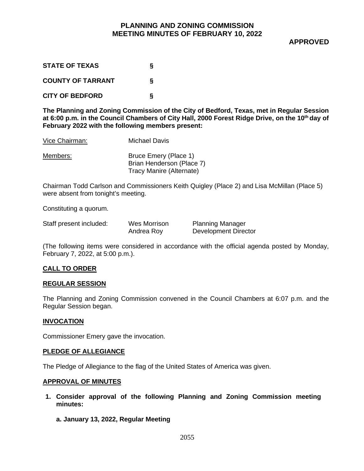**APPROVED**

| <b>STATE OF TEXAS</b>    | s |
|--------------------------|---|
| <b>COUNTY OF TARRANT</b> | s |
| <b>CITY OF BEDFORD</b>   | δ |

**The Planning and Zoning Commission of the City of Bedford, Texas, met in Regular Session at 6:00 p.m. in the Council Chambers of City Hall, 2000 Forest Ridge Drive, on the 10th day of February 2022 with the following members present:**

| Vice Chairman: | <b>Michael Davis</b>                                                           |
|----------------|--------------------------------------------------------------------------------|
| Members:       | Bruce Emery (Place 1)<br>Brian Henderson (Place 7)<br>Tracy Manire (Alternate) |

Chairman Todd Carlson and Commissioners Keith Quigley (Place 2) and Lisa McMillan (Place 5) were absent from tonight's meeting.

Constituting a quorum.

| Staff present included: | Wes Morrison | <b>Planning Manager</b>     |
|-------------------------|--------------|-----------------------------|
|                         | Andrea Roy   | <b>Development Director</b> |

(The following items were considered in accordance with the official agenda posted by Monday, February 7, 2022, at 5:00 p.m.).

#### **CALL TO ORDER**

#### **REGULAR SESSION**

The Planning and Zoning Commission convened in the Council Chambers at 6:07 p.m. and the Regular Session began.

#### **INVOCATION**

Commissioner Emery gave the invocation.

#### **PLEDGE OF ALLEGIANCE**

The Pledge of Allegiance to the flag of the United States of America was given.

#### **APPROVAL OF MINUTES**

**1. Consider approval of the following Planning and Zoning Commission meeting minutes:**

**a. January 13, 2022, Regular Meeting**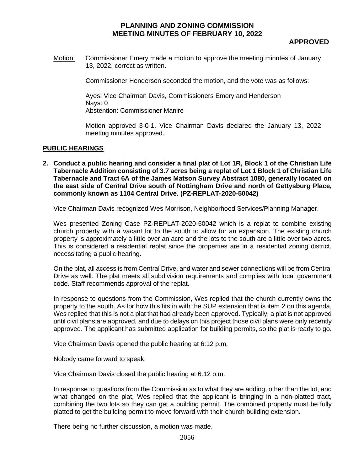## **APPROVED**

Motion: Commissioner Emery made a motion to approve the meeting minutes of January 13, 2022, correct as written.

Commissioner Henderson seconded the motion, and the vote was as follows:

Ayes: Vice Chairman Davis, Commissioners Emery and Henderson Nays: 0 Abstention: Commissioner Manire

Motion approved 3-0-1. Vice Chairman Davis declared the January 13, 2022 meeting minutes approved.

#### **PUBLIC HEARINGS**

**2. Conduct a public hearing and consider a final plat of Lot 1R, Block 1 of the Christian Life Tabernacle Addition consisting of 3.7 acres being a replat of Lot 1 Block 1 of Christian Life Tabernacle and Tract 6A of the James Matson Survey Abstract 1080, generally located on the east side of Central Drive south of Nottingham Drive and north of Gettysburg Place, commonly known as 1104 Central Drive. (PZ-REPLAT-2020-50042)**

Vice Chairman Davis recognized Wes Morrison, Neighborhood Services/Planning Manager.

Wes presented Zoning Case PZ-REPLAT-2020-50042 which is a replat to combine existing church property with a vacant lot to the south to allow for an expansion. The existing church property is approximately a little over an acre and the lots to the south are a little over two acres. This is considered a residential replat since the properties are in a residential zoning district, necessitating a public hearing.

On the plat, all access is from Central Drive, and water and sewer connections will be from Central Drive as well. The plat meets all subdivision requirements and complies with local government code. Staff recommends approval of the replat.

In response to questions from the Commission, Wes replied that the church currently owns the property to the south. As for how this fits in with the SUP extension that is item 2 on this agenda, Wes replied that this is not a plat that had already been approved. Typically, a plat is not approved until civil plans are approved, and due to delays on this project those civil plans were only recently approved. The applicant has submitted application for building permits, so the plat is ready to go.

Vice Chairman Davis opened the public hearing at 6:12 p.m.

Nobody came forward to speak.

Vice Chairman Davis closed the public hearing at 6:12 p.m.

In response to questions from the Commission as to what they are adding, other than the lot, and what changed on the plat, Wes replied that the applicant is bringing in a non-platted tract, combining the two lots so they can get a building permit. The combined property must be fully platted to get the building permit to move forward with their church building extension.

There being no further discussion, a motion was made.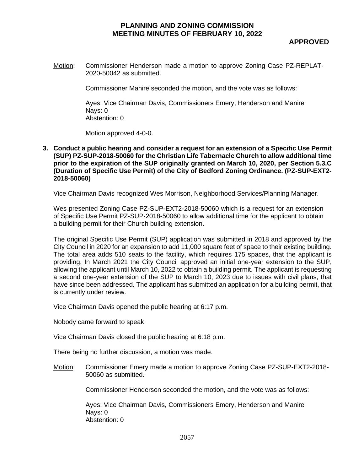**APPROVED**

Motion: Commissioner Henderson made a motion to approve Zoning Case PZ-REPLAT-2020-50042 as submitted.

Commissioner Manire seconded the motion, and the vote was as follows:

Ayes: Vice Chairman Davis, Commissioners Emery, Henderson and Manire Nays: 0 Abstention: 0

Motion approved 4-0-0.

**3. Conduct a public hearing and consider a request for an extension of a Specific Use Permit (SUP) PZ-SUP-2018-50060 for the Christian Life Tabernacle Church to allow additional time prior to the expiration of the SUP originally granted on March 10, 2020, per Section 5.3.C (Duration of Specific Use Permit) of the City of Bedford Zoning Ordinance. (PZ-SUP-EXT2- 2018-50060)**

Vice Chairman Davis recognized Wes Morrison, Neighborhood Services/Planning Manager.

Wes presented Zoning Case PZ-SUP-EXT2-2018-50060 which is a request for an extension of Specific Use Permit PZ-SUP-2018-50060 to allow additional time for the applicant to obtain a building permit for their Church building extension.

The original Specific Use Permit (SUP) application was submitted in 2018 and approved by the City Council in 2020 for an expansion to add 11,000 square feet of space to their existing building. The total area adds 510 seats to the facility, which requires 175 spaces, that the applicant is providing. In March 2021 the City Council approved an initial one-year extension to the SUP, allowing the applicant until March 10, 2022 to obtain a building permit. The applicant is requesting a second one-year extension of the SUP to March 10, 2023 due to issues with civil plans, that have since been addressed. The applicant has submitted an application for a building permit, that is currently under review.

Vice Chairman Davis opened the public hearing at 6:17 p.m.

Nobody came forward to speak.

Vice Chairman Davis closed the public hearing at 6:18 p.m.

There being no further discussion, a motion was made.

Motion: Commissioner Emery made a motion to approve Zoning Case PZ-SUP-EXT2-2018- 50060 as submitted.

Commissioner Henderson seconded the motion, and the vote was as follows:

Ayes: Vice Chairman Davis, Commissioners Emery, Henderson and Manire Nays: 0 Abstention: 0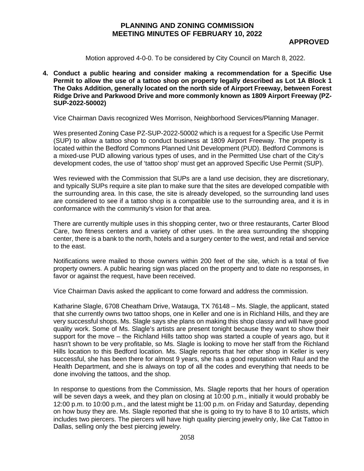Motion approved 4-0-0. To be considered by City Council on March 8, 2022.

**4. Conduct a public hearing and consider making a recommendation for a Specific Use Permit to allow the use of a tattoo shop on property legally described as Lot 1A Block 1 The Oaks Addition, generally located on the north side of Airport Freeway, between Forest Ridge Drive and Parkwood Drive and more commonly known as 1809 Airport Freeway (PZ-SUP-2022-50002)**

Vice Chairman Davis recognized Wes Morrison, Neighborhood Services/Planning Manager.

Wes presented Zoning Case PZ-SUP-2022-50002 which is a request for a Specific Use Permit (SUP) to allow a tattoo shop to conduct business at 1809 Airport Freeway. The property is located within the Bedford Commons Planned Unit Development (PUD). Bedford Commons is a mixed-use PUD allowing various types of uses, and in the Permitted Use chart of the City's development codes, the use of 'tattoo shop' must get an approved Specific Use Permit (SUP).

Wes reviewed with the Commission that SUPs are a land use decision, they are discretionary, and typically SUPs require a site plan to make sure that the sites are developed compatible with the surrounding area. In this case, the site is already developed, so the surrounding land uses are considered to see if a tattoo shop is a compatible use to the surrounding area, and it is in conformance with the community's vision for that area.

There are currently multiple uses in this shopping center, two or three restaurants, Carter Blood Care, two fitness centers and a variety of other uses. In the area surrounding the shopping center, there is a bank to the north, hotels and a surgery center to the west, and retail and service to the east.

Notifications were mailed to those owners within 200 feet of the site, which is a total of five property owners. A public hearing sign was placed on the property and to date no responses, in favor or against the request, have been received.

Vice Chairman Davis asked the applicant to come forward and address the commission.

Katharine Slagle, 6708 Cheatham Drive, Watauga, TX 76148 – Ms. Slagle, the applicant, stated that she currently owns two tattoo shops, one in Keller and one is in Richland Hills, and they are very successful shops. Ms. Slagle says she plans on making this shop classy and will have good quality work. Some of Ms. Slagle's artists are present tonight because they want to show their support for the move – the Richland Hills tattoo shop was started a couple of years ago, but it hasn't shown to be very profitable, so Ms. Slagle is looking to move her staff from the Richland Hills location to this Bedford location. Ms. Slagle reports that her other shop in Keller is very successful, she has been there for almost 9 years, she has a good reputation with Raul and the Health Department, and she is always on top of all the codes and everything that needs to be done involving the tattoos, and the shop.

In response to questions from the Commission, Ms. Slagle reports that her hours of operation will be seven days a week, and they plan on closing at 10:00 p.m., initially it would probably be 12:00 p.m. to 10:00 p.m., and the latest might be 11:00 p.m. on Friday and Saturday, depending on how busy they are. Ms. Slagle reported that she is going to try to have 8 to 10 artists, which includes two piercers. The piercers will have high quality piercing jewelry only, like Cat Tattoo in Dallas, selling only the best piercing jewelry.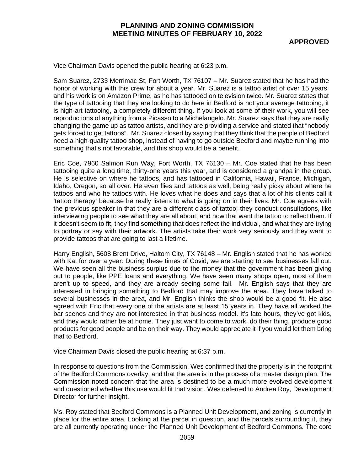**APPROVED**

Vice Chairman Davis opened the public hearing at 6:23 p.m.

Sam Suarez, 2733 Merrimac St, Fort Worth, TX 76107 – Mr. Suarez stated that he has had the honor of working with this crew for about a year. Mr. Suarez is a tattoo artist of over 15 years, and his work is on Amazon Prime, as he has tattooed on television twice. Mr. Suarez states that the type of tattooing that they are looking to do here in Bedford is not your average tattooing, it is high-art tattooing, a completely different thing. If you look at some of their work, you will see reproductions of anything from a Picasso to a Michelangelo. Mr. Suarez says that they are really changing the game up as tattoo artists, and they are providing a service and stated that "nobody gets forced to get tattoos". Mr. Suarez closed by saying that they think that the people of Bedford need a high-quality tattoo shop, instead of having to go outside Bedford and maybe running into something that's not favorable, and this shop would be a benefit.

Eric Coe, 7960 Salmon Run Way, Fort Worth, TX 76130 – Mr. Coe stated that he has been tattooing quite a long time, thirty-one years this year, and is considered a grandpa in the group. He is selective on where he tattoos, and has tattooed in California, Hawaii, France, Michigan, Idaho, Oregon, so all over. He even flies and tattoos as well, being really picky about where he tattoos and who he tattoos with. He loves what he does and says that a lot of his clients call it 'tattoo therapy' because he really listens to what is going on in their lives. Mr. Coe agrees with the previous speaker in that they are a different class of tattoo; they conduct consultations, like interviewing people to see what they are all about, and how that want the tattoo to reflect them. If it doesn't seem to fit, they find something that does reflect the individual, and what they are trying to portray or say with their artwork. The artists take their work very seriously and they want to provide tattoos that are going to last a lifetime.

Harry English, 5608 Brent Drive, Haltom City, TX 76148 – Mr. English stated that he has worked with Kat for over a year. During these times of Covid, we are starting to see businesses fall out. We have seen all the business surplus due to the money that the government has been giving out to people, like PPE loans and everything. We have seen many shops open, most of them aren't up to speed, and they are already seeing some fail. Mr. English says that they are interested in bringing something to Bedford that may improve the area. They have talked to several businesses in the area, and Mr. English thinks the shop would be a good fit. He also agreed with Eric that every one of the artists are at least 15 years in. They have all worked the bar scenes and they are not interested in that business model. It's late hours, they've got kids, and they would rather be at home. They just want to come to work, do their thing, produce good products for good people and be on their way. They would appreciate it if you would let them bring that to Bedford.

Vice Chairman Davis closed the public hearing at 6:37 p.m.

In response to questions from the Commission, Wes confirmed that the property is in the footprint of the Bedford Commons overlay, and that the area is in the process of a master design plan. The Commission noted concern that the area is destined to be a much more evolved development and questioned whether this use would fit that vision. Wes deferred to Andrea Roy, Development Director for further insight.

Ms. Roy stated that Bedford Commons is a Planned Unit Development, and zoning is currently in place for the entire area. Looking at the parcel in question, and the parcels surrounding it, they are all currently operating under the Planned Unit Development of Bedford Commons. The core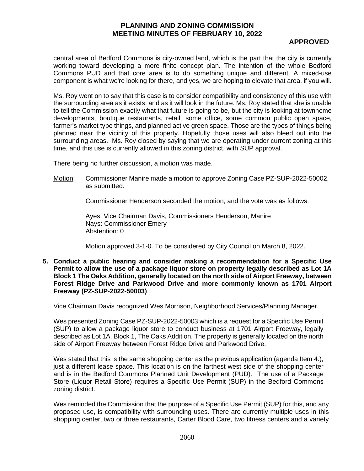# **APPROVED**

central area of Bedford Commons is city-owned land, which is the part that the city is currently working toward developing a more finite concept plan. The intention of the whole Bedford Commons PUD and that core area is to do something unique and different. A mixed-use component is what we're looking for there, and yes, we are hoping to elevate that area, if you will.

Ms. Roy went on to say that this case is to consider compatibility and consistency of this use with the surrounding area as it exists, and as it will look in the future. Ms. Roy stated that she is unable to tell the Commission exactly what that future is going to be, but the city is looking at townhome developments, boutique restaurants, retail, some office, some common public open space, farmer's market type things, and planned active green space. Those are the types of things being planned near the vicinity of this property. Hopefully those uses will also bleed out into the surrounding areas. Ms. Roy closed by saying that we are operating under current zoning at this time, and this use is currently allowed in this zoning district, with SUP approval.

There being no further discussion, a motion was made.

Motion: Commissioner Manire made a motion to approve Zoning Case PZ-SUP-2022-50002, as submitted.

Commissioner Henderson seconded the motion, and the vote was as follows:

Ayes: Vice Chairman Davis, Commissioners Henderson, Manire Nays: Commissioner Emery Abstention: 0

Motion approved 3-1-0. To be considered by City Council on March 8, 2022.

**5. Conduct a public hearing and consider making a recommendation for a Specific Use Permit to allow the use of a package liquor store on property legally described as Lot 1A Block 1 The Oaks Addition, generally located on the north side of Airport Freeway, between Forest Ridge Drive and Parkwood Drive and more commonly known as 1701 Airport Freeway (PZ-SUP-2022-50003)**

Vice Chairman Davis recognized Wes Morrison, Neighborhood Services/Planning Manager.

Wes presented Zoning Case PZ-SUP-2022-50003 which is a request for a Specific Use Permit (SUP) to allow a package liquor store to conduct business at 1701 Airport Freeway, legally described as Lot 1A, Block 1, The Oaks Addition. The property is generally located on the north side of Airport Freeway between Forest Ridge Drive and Parkwood Drive.

Wes stated that this is the same shopping center as the previous application (agenda Item 4.), just a different lease space. This location is on the farthest west side of the shopping center and is in the Bedford Commons Planned Unit Development (PUD). The use of a Package Store (Liquor Retail Store) requires a Specific Use Permit (SUP) in the Bedford Commons zoning district.

Wes reminded the Commission that the purpose of a Specific Use Permit (SUP) for this, and any proposed use, is compatibility with surrounding uses. There are currently multiple uses in this shopping center, two or three restaurants, Carter Blood Care, two fitness centers and a variety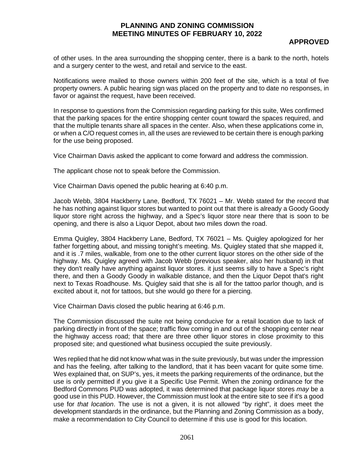# **APPROVED**

of other uses. In the area surrounding the shopping center, there is a bank to the north, hotels and a surgery center to the west, and retail and service to the east.

Notifications were mailed to those owners within 200 feet of the site, which is a total of five property owners. A public hearing sign was placed on the property and to date no responses, in favor or against the request, have been received.

In response to questions from the Commission regarding parking for this suite, Wes confirmed that the parking spaces for the entire shopping center count toward the spaces required, and that the multiple tenants share all spaces in the center. Also, when these applications come in, or when a C/O request comes in, all the uses are reviewed to be certain there is enough parking for the use being proposed.

Vice Chairman Davis asked the applicant to come forward and address the commission.

The applicant chose not to speak before the Commission.

Vice Chairman Davis opened the public hearing at 6:40 p.m.

Jacob Webb, 3804 Hackberry Lane, Bedford, TX 76021 – Mr. Webb stated for the record that he has nothing against liquor stores but wanted to point out that there is already a Goody Goody liquor store right across the highway, and a Spec's liquor store near there that is soon to be opening, and there is also a Liquor Depot, about two miles down the road.

Emma Quigley, 3804 Hackberry Lane, Bedford, TX 76021 – Ms. Quigley apologized for her father forgetting about, and missing tonight's meeting. Ms. Quigley stated that she mapped it, and it is .7 miles, walkable, from one to the other current liquor stores on the other side of the highway. Ms. Quigley agreed with Jacob Webb (previous speaker, also her husband) in that they don't really have anything against liquor stores. it just seems silly to have a Spec's right there, and then a Goody Goody in walkable distance, and then the Liquor Depot that's right next to Texas Roadhouse. Ms. Quigley said that she is all for the tattoo parlor though, and is excited about it, not for tattoos, but she would go there for a piercing.

Vice Chairman Davis closed the public hearing at 6:46 p.m.

The Commission discussed the suite not being conducive for a retail location due to lack of parking directly in front of the space; traffic flow coming in and out of the shopping center near the highway access road; that there are three other liquor stores in close proximity to this proposed site; and questioned what business occupied the suite previously.

Wes replied that he did not know what was in the suite previously, but was under the impression and has the feeling, after talking to the landlord, that it has been vacant for quite some time. Wes explained that, on SUP's, yes, it meets the parking requirements of the ordinance, but the use is only permitted if you give it a Specific Use Permit. When the zoning ordinance for the Bedford Commons PUD was adopted, it was determined that package liquor stores *may* be a good use in this PUD. However, the Commission must look at the entire site to see if it's a good use for *that location*. The use is not a given, it is not allowed "by right", it does meet the development standards in the ordinance, but the Planning and Zoning Commission as a body, make a recommendation to City Council to determine if this use is good for this location.